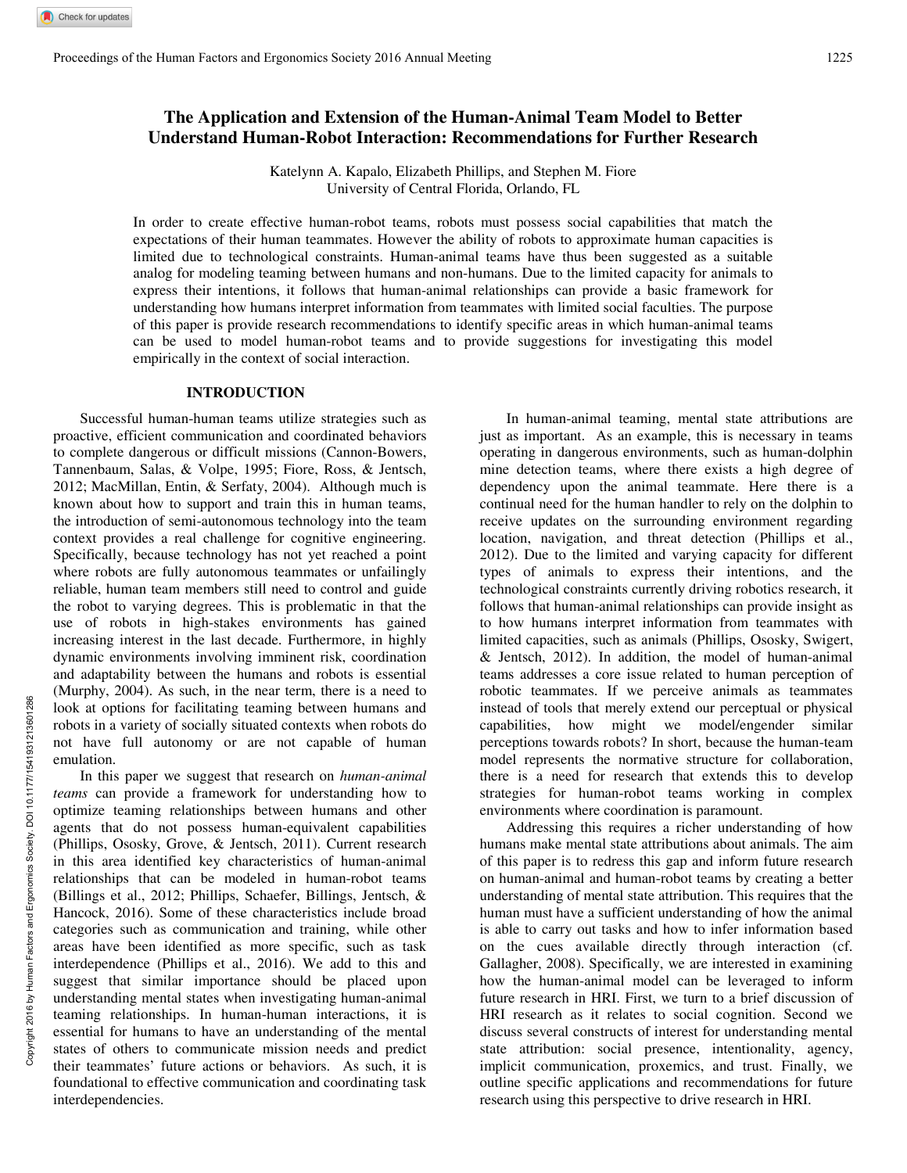# **The Application and Extension of the Human-Animal Team Model to Better Understand Human-Robot Interaction: Recommendations for Further Research**

Katelynn A. Kapalo, Elizabeth Phillips, and Stephen M. Fiore University of Central Florida, Orlando, FL

In order to create effective human-robot teams, robots must possess social capabilities that match the expectations of their human teammates. However the ability of robots to approximate human capacities is limited due to technological constraints. Human-animal teams have thus been suggested as a suitable analog for modeling teaming between humans and non-humans. Due to the limited capacity for animals to express their intentions, it follows that human-animal relationships can provide a basic framework for understanding how humans interpret information from teammates with limited social faculties. The purpose of this paper is provide research recommendations to identify specific areas in which human-animal teams can be used to model human-robot teams and to provide suggestions for investigating this model empirically in the context of social interaction.

### **INTRODUCTION**

Successful human-human teams utilize strategies such as proactive, efficient communication and coordinated behaviors to complete dangerous or difficult missions (Cannon-Bowers, Tannenbaum, Salas, & Volpe, 1995; Fiore, Ross, & Jentsch, 2012; MacMillan, Entin, & Serfaty, 2004). Although much is known about how to support and train this in human teams, the introduction of semi-autonomous technology into the team context provides a real challenge for cognitive engineering. Specifically, because technology has not yet reached a point where robots are fully autonomous teammates or unfailingly reliable, human team members still need to control and guide the robot to varying degrees. This is problematic in that the use of robots in high-stakes environments has gained increasing interest in the last decade. Furthermore, in highly dynamic environments involving imminent risk, coordination and adaptability between the humans and robots is essential (Murphy, 2004). As such, in the near term, there is a need to look at options for facilitating teaming between humans and robots in a variety of socially situated contexts when robots do not have full autonomy or are not capable of human emulation.

In this paper we suggest that research on *human-animal teams* can provide a framework for understanding how to optimize teaming relationships between humans and other agents that do not possess human-equivalent capabilities (Phillips, Ososky, Grove, & Jentsch, 2011). Current research in this area identified key characteristics of human-animal relationships that can be modeled in human-robot teams (Billings et al., 2012; Phillips, Schaefer, Billings, Jentsch, & Hancock, 2016). Some of these characteristics include broad categories such as communication and training, while other areas have been identified as more specific, such as task interdependence (Phillips et al., 2016). We add to this and suggest that similar importance should be placed upon understanding mental states when investigating human-animal teaming relationships. In human-human interactions, it is essential for humans to have an understanding of the mental states of others to communicate mission needs and predict their teammates' future actions or behaviors. As such, it is foundational to effective communication and coordinating task interdependencies.

In human-animal teaming, mental state attributions are just as important. As an example, this is necessary in teams operating in dangerous environments, such as human-dolphin mine detection teams, where there exists a high degree of dependency upon the animal teammate. Here there is a continual need for the human handler to rely on the dolphin to receive updates on the surrounding environment regarding location, navigation, and threat detection (Phillips et al., 2012). Due to the limited and varying capacity for different types of animals to express their intentions, and the technological constraints currently driving robotics research, it follows that human-animal relationships can provide insight as to how humans interpret information from teammates with limited capacities, such as animals (Phillips, Ososky, Swigert, & Jentsch, 2012). In addition, the model of human-animal teams addresses a core issue related to human perception of robotic teammates. If we perceive animals as teammates instead of tools that merely extend our perceptual or physical capabilities, how might we model/engender similar perceptions towards robots? In short, because the human-team model represents the normative structure for collaboration, there is a need for research that extends this to develop strategies for human-robot teams working in complex environments where coordination is paramount.

Addressing this requires a richer understanding of how humans make mental state attributions about animals. The aim of this paper is to redress this gap and inform future research on human-animal and human-robot teams by creating a better understanding of mental state attribution. This requires that the human must have a sufficient understanding of how the animal is able to carry out tasks and how to infer information based on the cues available directly through interaction (cf. Gallagher, 2008). Specifically, we are interested in examining how the human-animal model can be leveraged to inform future research in HRI. First, we turn to a brief discussion of HRI research as it relates to social cognition. Second we discuss several constructs of interest for understanding mental state attribution: social presence, intentionality, agency, implicit communication, proxemics, and trust. Finally, we outline specific applications and recommendations for future research using this perspective to drive research in HRI.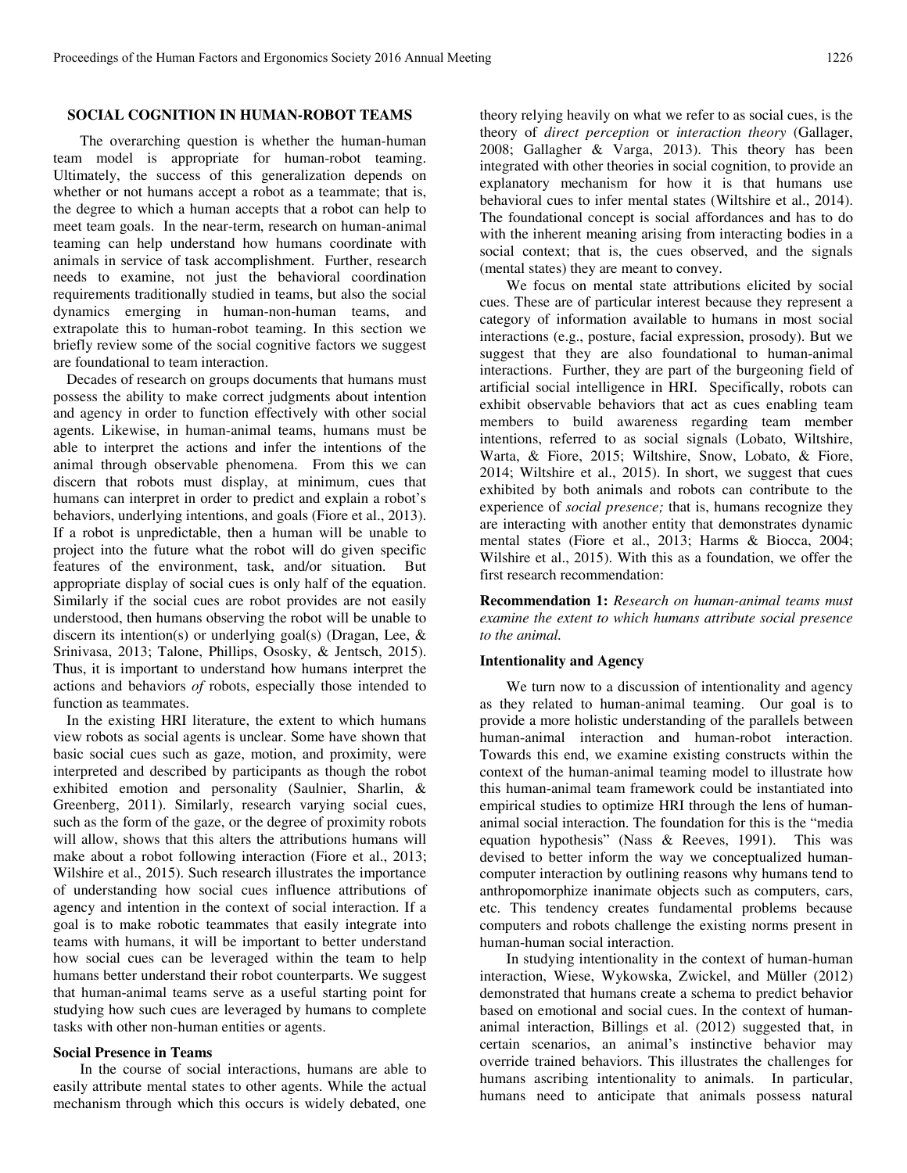## **SOCIAL COGNITION IN HUMAN-ROBOT TEAMS**

The overarching question is whether the human-human team model is appropriate for human-robot teaming. Ultimately, the success of this generalization depends on whether or not humans accept a robot as a teammate; that is, the degree to which a human accepts that a robot can help to meet team goals. In the near-term, research on human-animal teaming can help understand how humans coordinate with animals in service of task accomplishment. Further, research needs to examine, not just the behavioral coordination requirements traditionally studied in teams, but also the social dynamics emerging in human-non-human teams, and extrapolate this to human-robot teaming. In this section we briefly review some of the social cognitive factors we suggest are foundational to team interaction.

Decades of research on groups documents that humans must possess the ability to make correct judgments about intention and agency in order to function effectively with other social agents. Likewise, in human-animal teams, humans must be able to interpret the actions and infer the intentions of the animal through observable phenomena. From this we can discern that robots must display, at minimum, cues that humans can interpret in order to predict and explain a robot's behaviors, underlying intentions, and goals (Fiore et al., 2013). If a robot is unpredictable, then a human will be unable to project into the future what the robot will do given specific features of the environment, task, and/or situation. But appropriate display of social cues is only half of the equation. Similarly if the social cues are robot provides are not easily understood, then humans observing the robot will be unable to discern its intention(s) or underlying goal(s) (Dragan, Lee, & Srinivasa, 2013; Talone, Phillips, Ososky, & Jentsch, 2015). Thus, it is important to understand how humans interpret the actions and behaviors *of* robots, especially those intended to function as teammates.

In the existing HRI literature, the extent to which humans view robots as social agents is unclear. Some have shown that basic social cues such as gaze, motion, and proximity, were interpreted and described by participants as though the robot exhibited emotion and personality (Saulnier, Sharlin, & Greenberg, 2011). Similarly, research varying social cues, such as the form of the gaze, or the degree of proximity robots will allow, shows that this alters the attributions humans will make about a robot following interaction (Fiore et al., 2013; Wilshire et al., 2015). Such research illustrates the importance of understanding how social cues influence attributions of agency and intention in the context of social interaction. If a goal is to make robotic teammates that easily integrate into teams with humans, it will be important to better understand how social cues can be leveraged within the team to help humans better understand their robot counterparts. We suggest that human-animal teams serve as a useful starting point for studying how such cues are leveraged by humans to complete tasks with other non-human entities or agents.

### **Social Presence in Teams**

In the course of social interactions, humans are able to easily attribute mental states to other agents. While the actual mechanism through which this occurs is widely debated, one theory relying heavily on what we refer to as social cues, is the theory of *direct perception* or *interaction theory* (Gallager, 2008; Gallagher & Varga, 2013). This theory has been integrated with other theories in social cognition, to provide an explanatory mechanism for how it is that humans use behavioral cues to infer mental states (Wiltshire et al., 2014). The foundational concept is social affordances and has to do with the inherent meaning arising from interacting bodies in a social context; that is, the cues observed, and the signals (mental states) they are meant to convey.

We focus on mental state attributions elicited by social cues. These are of particular interest because they represent a category of information available to humans in most social interactions (e.g., posture, facial expression, prosody). But we suggest that they are also foundational to human-animal interactions. Further, they are part of the burgeoning field of artificial social intelligence in HRI. Specifically, robots can exhibit observable behaviors that act as cues enabling team members to build awareness regarding team member intentions, referred to as social signals (Lobato, Wiltshire, Warta, & Fiore, 2015; Wiltshire, Snow, Lobato, & Fiore, 2014; Wiltshire et al., 2015). In short, we suggest that cues exhibited by both animals and robots can contribute to the experience of *social presence;* that is, humans recognize they are interacting with another entity that demonstrates dynamic mental states (Fiore et al., 2013; Harms & Biocca, 2004; Wilshire et al., 2015). With this as a foundation, we offer the first research recommendation:

**Recommendation 1:** *Research on human-animal teams must examine the extent to which humans attribute social presence to the animal.* 

### **Intentionality and Agency**

We turn now to a discussion of intentionality and agency as they related to human-animal teaming. Our goal is to provide a more holistic understanding of the parallels between human-animal interaction and human-robot interaction. Towards this end, we examine existing constructs within the context of the human-animal teaming model to illustrate how this human-animal team framework could be instantiated into empirical studies to optimize HRI through the lens of humananimal social interaction. The foundation for this is the "media equation hypothesis" (Nass & Reeves, 1991). This was devised to better inform the way we conceptualized humancomputer interaction by outlining reasons why humans tend to anthropomorphize inanimate objects such as computers, cars, etc. This tendency creates fundamental problems because computers and robots challenge the existing norms present in human-human social interaction.

In studying intentionality in the context of human-human interaction, Wiese, Wykowska, Zwickel, and Müller (2012) demonstrated that humans create a schema to predict behavior based on emotional and social cues. In the context of humananimal interaction, Billings et al. (2012) suggested that, in certain scenarios, an animal's instinctive behavior may override trained behaviors. This illustrates the challenges for humans ascribing intentionality to animals. In particular, humans need to anticipate that animals possess natural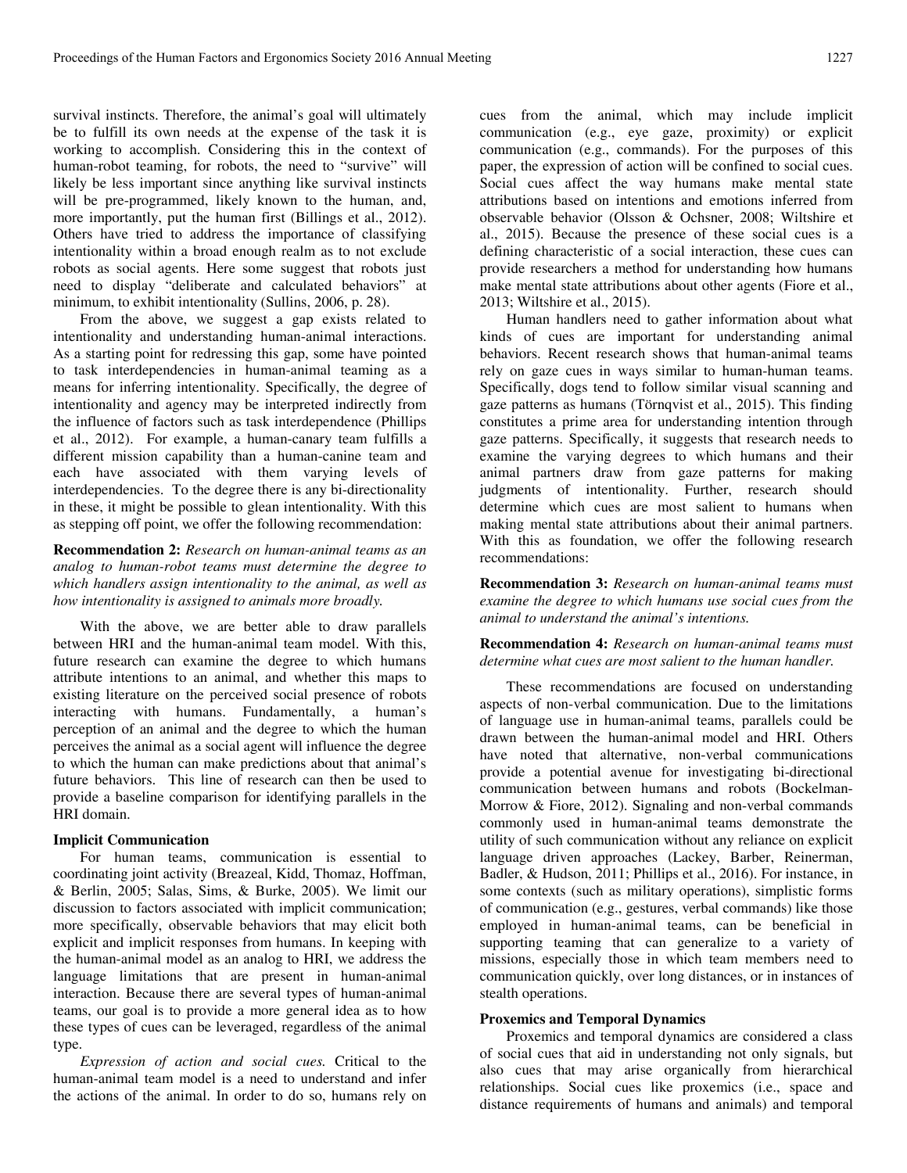survival instincts. Therefore, the animal's goal will ultimately be to fulfill its own needs at the expense of the task it is working to accomplish. Considering this in the context of human-robot teaming, for robots, the need to "survive" will likely be less important since anything like survival instincts will be pre-programmed, likely known to the human, and, more importantly, put the human first (Billings et al., 2012). Others have tried to address the importance of classifying intentionality within a broad enough realm as to not exclude robots as social agents. Here some suggest that robots just need to display "deliberate and calculated behaviors" at minimum, to exhibit intentionality (Sullins, 2006, p. 28).

From the above, we suggest a gap exists related to intentionality and understanding human-animal interactions. As a starting point for redressing this gap, some have pointed to task interdependencies in human-animal teaming as a means for inferring intentionality. Specifically, the degree of intentionality and agency may be interpreted indirectly from the influence of factors such as task interdependence (Phillips et al., 2012). For example, a human-canary team fulfills a different mission capability than a human-canine team and each have associated with them varying levels of interdependencies. To the degree there is any bi-directionality in these, it might be possible to glean intentionality. With this as stepping off point, we offer the following recommendation:

## **Recommendation 2:** *Research on human-animal teams as an analog to human-robot teams must determine the degree to which handlers assign intentionality to the animal, as well as how intentionality is assigned to animals more broadly.*

With the above, we are better able to draw parallels between HRI and the human-animal team model. With this, future research can examine the degree to which humans attribute intentions to an animal, and whether this maps to existing literature on the perceived social presence of robots interacting with humans. Fundamentally, a human's perception of an animal and the degree to which the human perceives the animal as a social agent will influence the degree to which the human can make predictions about that animal's future behaviors. This line of research can then be used to provide a baseline comparison for identifying parallels in the HRI domain.

### **Implicit Communication**

For human teams, communication is essential to coordinating joint activity (Breazeal, Kidd, Thomaz, Hoffman, & Berlin, 2005; Salas, Sims, & Burke, 2005). We limit our discussion to factors associated with implicit communication; more specifically, observable behaviors that may elicit both explicit and implicit responses from humans. In keeping with the human-animal model as an analog to HRI, we address the language limitations that are present in human-animal interaction. Because there are several types of human-animal teams, our goal is to provide a more general idea as to how these types of cues can be leveraged, regardless of the animal type.

*Expression of action and social cues.* Critical to the human-animal team model is a need to understand and infer the actions of the animal. In order to do so, humans rely on

cues from the animal, which may include implicit communication (e.g., eye gaze, proximity) or explicit communication (e.g., commands). For the purposes of this paper, the expression of action will be confined to social cues. Social cues affect the way humans make mental state attributions based on intentions and emotions inferred from observable behavior (Olsson & Ochsner, 2008; Wiltshire et al., 2015). Because the presence of these social cues is a defining characteristic of a social interaction, these cues can provide researchers a method for understanding how humans make mental state attributions about other agents (Fiore et al., 2013; Wiltshire et al., 2015).

Human handlers need to gather information about what kinds of cues are important for understanding animal behaviors. Recent research shows that human-animal teams rely on gaze cues in ways similar to human-human teams. Specifically, dogs tend to follow similar visual scanning and gaze patterns as humans (Törnqvist et al., 2015). This finding constitutes a prime area for understanding intention through gaze patterns. Specifically, it suggests that research needs to examine the varying degrees to which humans and their animal partners draw from gaze patterns for making judgments of intentionality. Further, research should determine which cues are most salient to humans when making mental state attributions about their animal partners. With this as foundation, we offer the following research recommendations:

**Recommendation 3:** *Research on human-animal teams must examine the degree to which humans use social cues from the animal to understand the animal's intentions.* 

**Recommendation 4:** *Research on human-animal teams must determine what cues are most salient to the human handler.*

These recommendations are focused on understanding aspects of non-verbal communication. Due to the limitations of language use in human-animal teams, parallels could be drawn between the human-animal model and HRI. Others have noted that alternative, non-verbal communications provide a potential avenue for investigating bi-directional communication between humans and robots (Bockelman-Morrow & Fiore, 2012). Signaling and non-verbal commands commonly used in human-animal teams demonstrate the utility of such communication without any reliance on explicit language driven approaches (Lackey, Barber, Reinerman, Badler, & Hudson, 2011; Phillips et al., 2016). For instance, in some contexts (such as military operations), simplistic forms of communication (e.g., gestures, verbal commands) like those employed in human-animal teams, can be beneficial in supporting teaming that can generalize to a variety of missions, especially those in which team members need to communication quickly, over long distances, or in instances of stealth operations.

## **Proxemics and Temporal Dynamics**

Proxemics and temporal dynamics are considered a class of social cues that aid in understanding not only signals, but also cues that may arise organically from hierarchical relationships. Social cues like proxemics (i.e., space and distance requirements of humans and animals) and temporal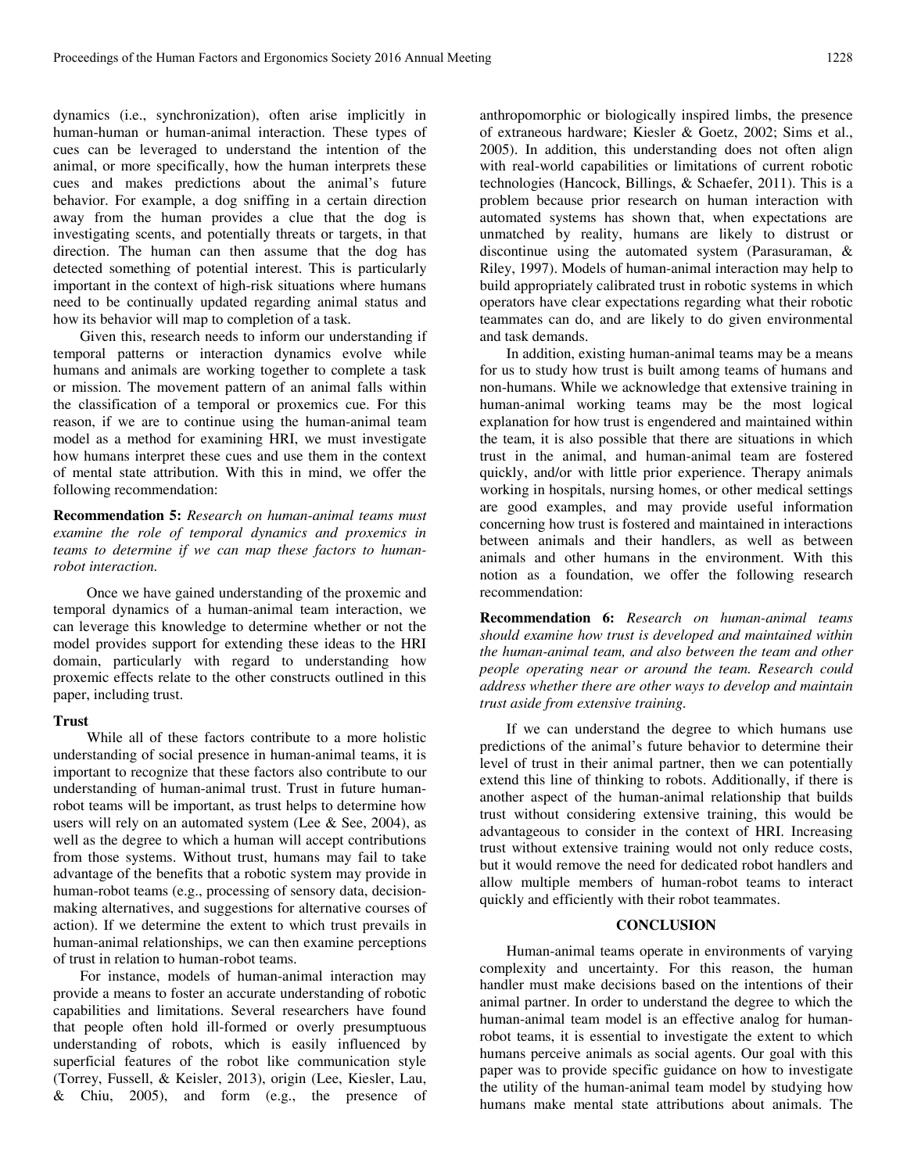dynamics (i.e., synchronization), often arise implicitly in human-human or human-animal interaction. These types of cues can be leveraged to understand the intention of the animal, or more specifically, how the human interprets these cues and makes predictions about the animal's future behavior. For example, a dog sniffing in a certain direction away from the human provides a clue that the dog is investigating scents, and potentially threats or targets, in that direction. The human can then assume that the dog has detected something of potential interest. This is particularly important in the context of high-risk situations where humans need to be continually updated regarding animal status and how its behavior will map to completion of a task.

Given this, research needs to inform our understanding if temporal patterns or interaction dynamics evolve while humans and animals are working together to complete a task or mission. The movement pattern of an animal falls within the classification of a temporal or proxemics cue. For this reason, if we are to continue using the human-animal team model as a method for examining HRI, we must investigate how humans interpret these cues and use them in the context of mental state attribution. With this in mind, we offer the following recommendation:

**Recommendation 5:** *Research on human-animal teams must examine the role of temporal dynamics and proxemics in teams to determine if we can map these factors to humanrobot interaction.* 

Once we have gained understanding of the proxemic and temporal dynamics of a human-animal team interaction, we can leverage this knowledge to determine whether or not the model provides support for extending these ideas to the HRI domain, particularly with regard to understanding how proxemic effects relate to the other constructs outlined in this paper, including trust.

#### **Trust**

While all of these factors contribute to a more holistic understanding of social presence in human-animal teams, it is important to recognize that these factors also contribute to our understanding of human-animal trust. Trust in future humanrobot teams will be important, as trust helps to determine how users will rely on an automated system (Lee & See, 2004), as well as the degree to which a human will accept contributions from those systems. Without trust, humans may fail to take advantage of the benefits that a robotic system may provide in human-robot teams (e.g., processing of sensory data, decisionmaking alternatives, and suggestions for alternative courses of action). If we determine the extent to which trust prevails in human-animal relationships, we can then examine perceptions of trust in relation to human-robot teams.

For instance, models of human-animal interaction may provide a means to foster an accurate understanding of robotic capabilities and limitations. Several researchers have found that people often hold ill-formed or overly presumptuous understanding of robots, which is easily influenced by superficial features of the robot like communication style (Torrey, Fussell, & Keisler, 2013), origin (Lee, Kiesler, Lau, & Chiu, 2005), and form (e.g., the presence of anthropomorphic or biologically inspired limbs, the presence of extraneous hardware; Kiesler & Goetz, 2002; Sims et al., 2005). In addition, this understanding does not often align with real-world capabilities or limitations of current robotic technologies (Hancock, Billings, & Schaefer, 2011). This is a problem because prior research on human interaction with automated systems has shown that, when expectations are unmatched by reality, humans are likely to distrust or discontinue using the automated system (Parasuraman, & Riley, 1997). Models of human-animal interaction may help to build appropriately calibrated trust in robotic systems in which operators have clear expectations regarding what their robotic teammates can do, and are likely to do given environmental and task demands.

In addition, existing human-animal teams may be a means for us to study how trust is built among teams of humans and non-humans. While we acknowledge that extensive training in human-animal working teams may be the most logical explanation for how trust is engendered and maintained within the team, it is also possible that there are situations in which trust in the animal, and human-animal team are fostered quickly, and/or with little prior experience. Therapy animals working in hospitals, nursing homes, or other medical settings are good examples, and may provide useful information concerning how trust is fostered and maintained in interactions between animals and their handlers, as well as between animals and other humans in the environment. With this notion as a foundation, we offer the following research recommendation:

**Recommendation 6:** *Research on human-animal teams should examine how trust is developed and maintained within the human-animal team, and also between the team and other people operating near or around the team. Research could address whether there are other ways to develop and maintain trust aside from extensive training.* 

If we can understand the degree to which humans use predictions of the animal's future behavior to determine their level of trust in their animal partner, then we can potentially extend this line of thinking to robots. Additionally, if there is another aspect of the human-animal relationship that builds trust without considering extensive training, this would be advantageous to consider in the context of HRI. Increasing trust without extensive training would not only reduce costs, but it would remove the need for dedicated robot handlers and allow multiple members of human-robot teams to interact quickly and efficiently with their robot teammates.

#### **CONCLUSION**

Human-animal teams operate in environments of varying complexity and uncertainty. For this reason, the human handler must make decisions based on the intentions of their animal partner. In order to understand the degree to which the human-animal team model is an effective analog for humanrobot teams, it is essential to investigate the extent to which humans perceive animals as social agents. Our goal with this paper was to provide specific guidance on how to investigate the utility of the human-animal team model by studying how humans make mental state attributions about animals. The